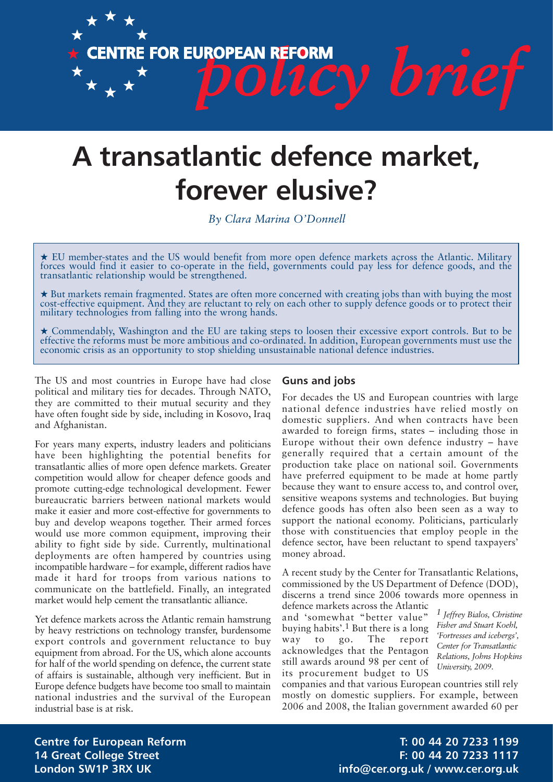

# **A transatlantic defence market, forever elusive?**

*By Clara Marina O'Donnell*

★ EU member-states and the US would benefit from more open defence markets across the Atlantic. Military forces would find it easier to co-operate in the field, governments could pay less for defence goods, and the transatlantic relationship would be strengthened.

★ But markets remain fragmented. States are often more concerned with creating jobs than with buying the most cost-effective equipment. And they are reluctant to rely on each other to supply defence goods or to protect their military technologies from falling into the wrong hands.

★ Commendably, Washington and the EU are taking steps to loosen their excessive export controls. But to be effective the reforms must be more ambitious and co-ordinated. In addition, European governments must use the economic crisis as an opportunity to stop shielding unsustainable national defence industries.

The US and most countries in Europe have had close political and military ties for decades. Through NATO, they are committed to their mutual security and they have often fought side by side, including in Kosovo, Iraq and Afghanistan.

For years many experts, industry leaders and politicians have been highlighting the potential benefits for transatlantic allies of more open defence markets. Greater competition would allow for cheaper defence goods and promote cutting-edge technological development. Fewer bureaucratic barriers between national markets would make it easier and more cost-effective for governments to buy and develop weapons together. Their armed forces would use more common equipment, improving their ability to fight side by side. Currently, multinational deployments are often hampered by countries using incompatible hardware – for example, different radios have made it hard for troops from various nations to communicate on the battlefield. Finally, an integrated market would help cement the transatlantic alliance.

Yet defence markets across the Atlantic remain hamstrung by heavy restrictions on technology transfer, burdensome export controls and government reluctance to buy equipment from abroad. For the US, which alone accounts for half of the world spending on defence, the current state of affairs is sustainable, although very inefficient. But in Europe defence budgets have become too small to maintain national industries and the survival of the European industrial base is at risk.

# **Guns and jobs**

For decades the US and European countries with large national defence industries have relied mostly on domestic suppliers. And when contracts have been awarded to foreign firms, states – including those in Europe without their own defence industry – have generally required that a certain amount of the production take place on national soil. Governments have preferred equipment to be made at home partly because they want to ensure access to, and control over, sensitive weapons systems and technologies. But buying defence goods has often also been seen as a way to support the national economy. Politicians, particularly those with constituencies that employ people in the defence sector, have been reluctant to spend taxpayers' money abroad.

A recent study by the Center for Transatlantic Relations, commissioned by the US Department of Defence (DOD), discerns a trend since 2006 towards more openness in defence markets across the Atlantic

and 'somewhat "better value" buying habits'.<sup>1</sup> But there is a long<br>way to go. The report way to go. The report acknowledges that the Pentagon still awards around 98 per cent of its procurement budget to US

*1 Jeffrey Bialos, Christine Fisher and Stuart Koehl, 'Fortresses and icebergs', Center for Transatlantic Relations, Johns Hopkins University, 2009.*

companies and that various European countries still rely mostly on domestic suppliers. For example, between 2006 and 2008, the Italian government awarded 60 per

**Centre for European Reform T: 00 44 20 7233 1199 14 Great College Street F: 00 44 20 7233 1117 London SW1P 3RX UK info@cer.org.uk / www.cer.org.uk**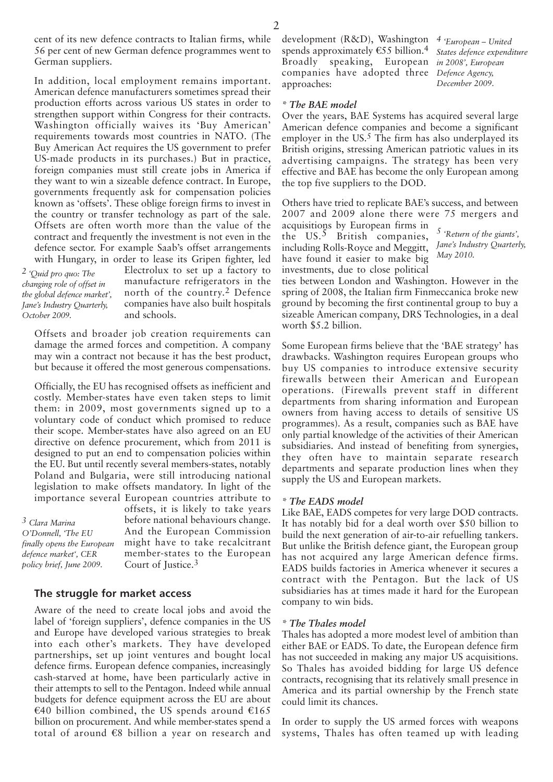cent of its new defence contracts to Italian firms, while 56 per cent of new German defence programmes went to German suppliers.

In addition, local employment remains important. American defence manufacturers sometimes spread their production efforts across various US states in order to strengthen support within Congress for their contracts. Washington officially waives its 'Buy American' requirements towards most countries in NATO. (The Buy American Act requires the US government to prefer US-made products in its purchases.) But in practice, foreign companies must still create jobs in America if they want to win a sizeable defence contract. In Europe, governments frequently ask for compensation policies known as 'offsets'. These oblige foreign firms to invest in the country or transfer technology as part of the sale. Offsets are often worth more than the value of the contract and frequently the investment is not even in the defence sector. For example Saab's offset arrangements with Hungary, in order to lease its Gripen fighter, led

*2 'Quid pro quo: The changing role of offset in the global defence market', Jane's Industry Quarterly, October 2009.*

Electrolux to set up a factory to manufacture refrigerators in the north of the country.2 Defence companies have also built hospitals and schools.

Offsets and broader job creation requirements can damage the armed forces and competition. A company may win a contract not because it has the best product, but because it offered the most generous compensations.

Officially, the EU has recognised offsets as inefficient and costly. Member-states have even taken steps to limit them: in 2009, most governments signed up to a voluntary code of conduct which promised to reduce their scope. Member-states have also agreed on an EU directive on defence procurement, which from 2011 is designed to put an end to compensation policies within the EU. But until recently several members-states, notably Poland and Bulgaria, were still introducing national legislation to make offsets mandatory. In light of the importance several European countries attribute to

*3 Clara Marina O'Donnell, 'The EU finally opens the European defence market', CER policy brief, June 2009.*

offsets, it is likely to take years before national behaviours change. And the European Commission might have to take recalcitrant member-states to the European Court of Justice.<sup>3</sup>

## **The struggle for market access**

Aware of the need to create local jobs and avoid the label of 'foreign suppliers', defence companies in the US and Europe have developed various strategies to break into each other's markets. They have developed partnerships, set up joint ventures and bought local defence firms. European defence companies, increasingly cash-starved at home, have been particularly active in their attempts to sell to the Pentagon. Indeed while annual budgets for defence equipment across the EU are about €40 billion combined, the US spends around  $€165$ billion on procurement. And while member-states spend a total of around  $\epsilon$ 8 billion a year on research and development (R&D), Washington *4 'European – United* spends approximately  $E$ 55 billion.<sup>4</sup> Broadly speaking, European companies have adopted three *Defence Agency,* approaches:

*States defence expenditure in 2008', European December 2009.*

#### *\* The BAE model*

Over the years, BAE Systems has acquired several large American defence companies and become a significant employer in the US.<sup>5</sup> The firm has also underplayed its British origins, stressing American patriotic values in its advertising campaigns. The strategy has been very effective and BAE has become the only European among the top five suppliers to the DOD.

Others have tried to replicate BAE's success, and between 2007 and 2009 alone there were 75 mergers and acquisitions by European firms in

the US.5 British companies, including Rolls-Royce and Meggitt, have found it easier to make big investments, due to close political

*5 'Return of the giants', Jane's Industry Quarterly, May 2010.*

ties between London and Washington. However in the spring of 2008, the Italian firm Finmeccanica broke new ground by becoming the first continental group to buy a sizeable American company, DRS Technologies, in a deal worth \$5.2 billion.

Some European firms believe that the 'BAE strategy' has drawbacks. Washington requires European groups who buy US companies to introduce extensive security firewalls between their American and European operations. (Firewalls prevent staff in different departments from sharing information and European owners from having access to details of sensitive US programmes). As a result, companies such as BAE have only partial knowledge of the activities of their American subsidiaries. And instead of benefiting from synergies, they often have to maintain separate research departments and separate production lines when they supply the US and European markets.

#### *\* The EADS model*

Like BAE, EADS competes for very large DOD contracts. It has notably bid for a deal worth over \$50 billion to build the next generation of air-to-air refuelling tankers. But unlike the British defence giant, the European group has not acquired any large American defence firms. EADS builds factories in America whenever it secures a contract with the Pentagon. But the lack of US subsidiaries has at times made it hard for the European company to win bids.

#### *\* The Thales model*

Thales has adopted a more modest level of ambition than either BAE or EADS. To date, the European defence firm has not succeeded in making any major US acquisitions. So Thales has avoided bidding for large US defence contracts, recognising that its relatively small presence in America and its partial ownership by the French state could limit its chances.

In order to supply the US armed forces with weapons systems, Thales has often teamed up with leading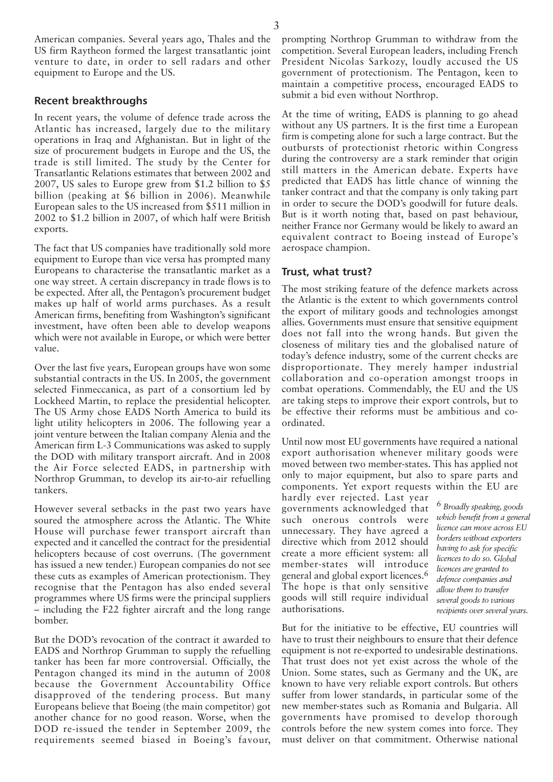American companies. Several years ago, Thales and the US firm Raytheon formed the largest transatlantic joint venture to date, in order to sell radars and other equipment to Europe and the US.

## **Recent breakthroughs**

In recent years, the volume of defence trade across the Atlantic has increased, largely due to the military operations in Iraq and Afghanistan. But in light of the size of procurement budgets in Europe and the US, the trade is still limited. The study by the Center for Transatlantic Relations estimates that between 2002 and 2007, US sales to Europe grew from \$1.2 billion to \$5 billion (peaking at \$6 billion in 2006). Meanwhile European sales to the US increased from \$511 million in 2002 to \$1.2 billion in 2007, of which half were British exports.

The fact that US companies have traditionally sold more equipment to Europe than vice versa has prompted many Europeans to characterise the transatlantic market as a one way street. A certain discrepancy in trade flows is to be expected. After all, the Pentagon's procurement budget makes up half of world arms purchases. As a result American firms, benefiting from Washington's significant investment, have often been able to develop weapons which were not available in Europe, or which were better value.

Over the last five years, European groups have won some substantial contracts in the US. In 2005, the government selected Finmeccanica, as part of a consortium led by Lockheed Martin, to replace the presidential helicopter. The US Army chose EADS North America to build its light utility helicopters in 2006. The following year a joint venture between the Italian company Alenia and the American firm L-3 Communications was asked to supply the DOD with military transport aircraft. And in 2008 the Air Force selected EADS, in partnership with Northrop Grumman, to develop its air-to-air refuelling tankers.

However several setbacks in the past two years have soured the atmosphere across the Atlantic. The White House will purchase fewer transport aircraft than expected and it cancelled the contract for the presidential helicopters because of cost overruns. (The government has issued a new tender.) European companies do not see these cuts as examples of American protectionism. They recognise that the Pentagon has also ended several programmes where US firms were the principal suppliers – including the F22 fighter aircraft and the long range bomber.

But the DOD's revocation of the contract it awarded to EADS and Northrop Grumman to supply the refuelling tanker has been far more controversial. Officially, the Pentagon changed its mind in the autumn of 2008 because the Government Accountability Office disapproved of the tendering process. But many Europeans believe that Boeing (the main competitor) got another chance for no good reason. Worse, when the DOD re-issued the tender in September 2009, the requirements seemed biased in Boeing's favour, prompting Northrop Grumman to withdraw from the competition. Several European leaders, including French President Nicolas Sarkozy, loudly accused the US government of protectionism. The Pentagon, keen to maintain a competitive process, encouraged EADS to submit a bid even without Northrop.

At the time of writing, EADS is planning to go ahead without any US partners. It is the first time a European firm is competing alone for such a large contract. But the outbursts of protectionist rhetoric within Congress during the controversy are a stark reminder that origin still matters in the American debate. Experts have predicted that EADS has little chance of winning the tanker contract and that the company is only taking part in order to secure the DOD's goodwill for future deals. But is it worth noting that, based on past behaviour, neither France nor Germany would be likely to award an equivalent contract to Boeing instead of Europe's aerospace champion.

### **Trust, what trust?**

The most striking feature of the defence markets across the Atlantic is the extent to which governments control the export of military goods and technologies amongst allies. Governments must ensure that sensitive equipment does not fall into the wrong hands. But given the closeness of military ties and the globalised nature of today's defence industry, some of the current checks are disproportionate. They merely hamper industrial collaboration and co-operation amongst troops in combat operations. Commendably, the EU and the US are taking steps to improve their export controls, but to be effective their reforms must be ambitious and coordinated.

Until now most EU governments have required a national export authorisation whenever military goods were moved between two member-states. This has applied not only to major equipment, but also to spare parts and components. Yet export requests within the EU are hardly ever rejected. Last year governments acknowledged that such onerous controls were unnecessary. They have agreed a *6 Broadly speaking, goods*

directive which from 2012 should create a more efficient system: all member-states will introduce general and global export licences.6 The hope is that only sensitive goods will still require individual authorisations.

*which benefit from a general licence can move across EU borders without exporters having to ask for specific licences to do so. Global licences are granted to defence companies and allow them to transfer several goods to various recipients over several years.*

But for the initiative to be effective, EU countries will have to trust their neighbours to ensure that their defence equipment is not re-exported to undesirable destinations. That trust does not yet exist across the whole of the Union. Some states, such as Germany and the UK, are known to have very reliable export controls. But others suffer from lower standards, in particular some of the new member-states such as Romania and Bulgaria. All governments have promised to develop thorough controls before the new system comes into force. They must deliver on that commitment. Otherwise national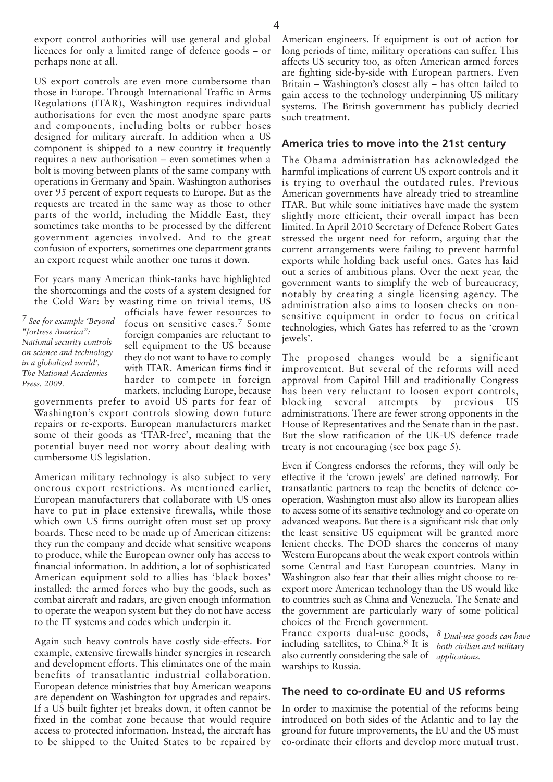US export controls are even more cumbersome than those in Europe. Through International Traffic in Arms Regulations (ITAR), Washington requires individual authorisations for even the most anodyne spare parts and components, including bolts or rubber hoses designed for military aircraft. In addition when a US component is shipped to a new country it frequently requires a new authorisation – even sometimes when a bolt is moving between plants of the same company with operations in Germany and Spain. Washington authorises over 95 percent of export requests to Europe. But as the requests are treated in the same way as those to other parts of the world, including the Middle East, they sometimes take months to be processed by the different government agencies involved. And to the great confusion of exporters, sometimes one department grants an export request while another one turns it down.

For years many American think-tanks have highlighted the shortcomings and the costs of a system designed for the Cold War: by wasting time on trivial items, US

*7 See for example 'Beyond "fortress America": National security controls on science and technology in a globalized world', The National Academies Press, 2009.*

officials have fewer resources to focus on sensitive cases.7 Some foreign companies are reluctant to sell equipment to the US because they do not want to have to comply with ITAR. American firms find it harder to compete in foreign markets, including Europe, because

governments prefer to avoid US parts for fear of Washington's export controls slowing down future repairs or re-exports. European manufacturers market some of their goods as 'ITAR-free', meaning that the potential buyer need not worry about dealing with cumbersome US legislation.

American military technology is also subject to very onerous export restrictions. As mentioned earlier, European manufacturers that collaborate with US ones have to put in place extensive firewalls, while those which own US firms outright often must set up proxy boards. These need to be made up of American citizens: they run the company and decide what sensitive weapons to produce, while the European owner only has access to financial information. In addition, a lot of sophisticated American equipment sold to allies has 'black boxes' installed: the armed forces who buy the goods, such as combat aircraft and radars, are given enough information to operate the weapon system but they do not have access to the IT systems and codes which underpin it.

Again such heavy controls have costly side-effects. For example, extensive firewalls hinder synergies in research and development efforts. This eliminates one of the main benefits of transatlantic industrial collaboration. European defence ministries that buy American weapons are dependent on Washington for upgrades and repairs. If a US built fighter jet breaks down, it often cannot be fixed in the combat zone because that would require access to protected information. Instead, the aircraft has to be shipped to the United States to be repaired by

American engineers. If equipment is out of action for long periods of time, military operations can suffer. This affects US security too, as often American armed forces are fighting side-by-side with European partners. Even Britain – Washington's closest ally – has often failed to gain access to the technology underpinning US military systems. The British government has publicly decried such treatment.

#### **America tries to move into the 21st century**

The Obama administration has acknowledged the harmful implications of current US export controls and it is trying to overhaul the outdated rules. Previous American governments have already tried to streamline ITAR. But while some initiatives have made the system slightly more efficient, their overall impact has been limited. In April 2010 Secretary of Defence Robert Gates stressed the urgent need for reform, arguing that the current arrangements were failing to prevent harmful exports while holding back useful ones. Gates has laid out a series of ambitious plans. Over the next year, the government wants to simplify the web of bureaucracy, notably by creating a single licensing agency. The administration also aims to loosen checks on nonsensitive equipment in order to focus on critical technologies, which Gates has referred to as the 'crown jewels'.

The proposed changes would be a significant improvement. But several of the reforms will need approval from Capitol Hill and traditionally Congress has been very reluctant to loosen export controls, blocking several attempts by previous US administrations. There are fewer strong opponents in the House of Representatives and the Senate than in the past. But the slow ratification of the UK-US defence trade treaty is not encouraging (see box page 5).

Even if Congress endorses the reforms, they will only be effective if the 'crown jewels' are defined narrowly. For transatlantic partners to reap the benefits of defence cooperation, Washington must also allow its European allies to access some of its sensitive technology and co-operate on advanced weapons. But there is a significant risk that only the least sensitive US equipment will be granted more lenient checks. The DOD shares the concerns of many Western Europeans about the weak export controls within some Central and East European countries. Many in Washington also fear that their allies might choose to reexport more American technology than the US would like to countries such as China and Venezuela. The Senate and the government are particularly wary of some political choices of the French government.

France exports dual-use goods, *8 Dual-use goods can have* including satellites, to China.8 It is *both civilian and military* also currently considering the sale of *applications.*warships to Russia.

#### **The need to co-ordinate EU and US reforms**

In order to maximise the potential of the reforms being introduced on both sides of the Atlantic and to lay the ground for future improvements, the EU and the US must co-ordinate their efforts and develop more mutual trust.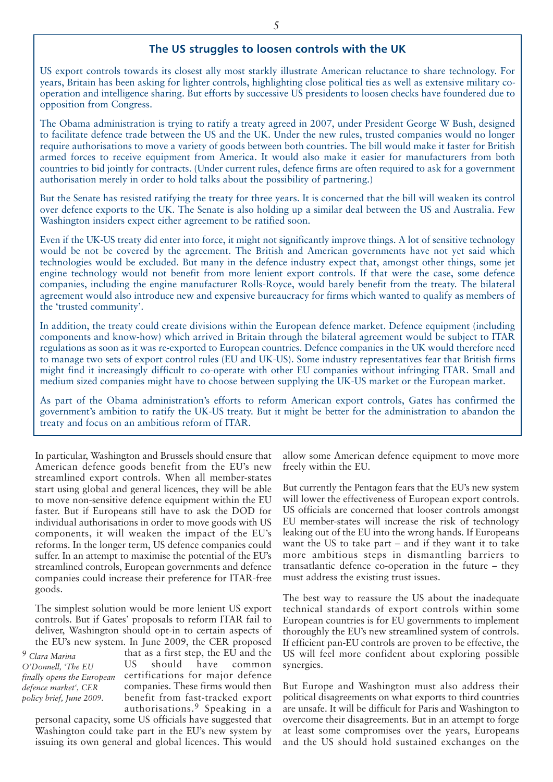### **The US struggles to loosen controls with the UK**

US export controls towards its closest ally most starkly illustrate American reluctance to share technology. For years, Britain has been asking for lighter controls, highlighting close political ties as well as extensive military cooperation and intelligence sharing. But efforts by successive US presidents to loosen checks have foundered due to opposition from Congress.

The Obama administration is trying to ratify a treaty agreed in 2007, under President George W Bush, designed to facilitate defence trade between the US and the UK. Under the new rules, trusted companies would no longer require authorisations to move a variety of goods between both countries. The bill would make it faster for British armed forces to receive equipment from America. It would also make it easier for manufacturers from both countries to bid jointly for contracts. (Under current rules, defence firms are often required to ask for a government authorisation merely in order to hold talks about the possibility of partnering.)

But the Senate has resisted ratifying the treaty for three years. It is concerned that the bill will weaken its control over defence exports to the UK. The Senate is also holding up a similar deal between the US and Australia. Few Washington insiders expect either agreement to be ratified soon.

Even if the UK-US treaty did enter into force, it might not significantly improve things. A lot of sensitive technology would be not be covered by the agreement. The British and American governments have not yet said which technologies would be excluded. But many in the defence industry expect that, amongst other things, some jet engine technology would not benefit from more lenient export controls. If that were the case, some defence companies, including the engine manufacturer Rolls-Royce, would barely benefit from the treaty. The bilateral agreement would also introduce new and expensive bureaucracy for firms which wanted to qualify as members of the 'trusted community'.

In addition, the treaty could create divisions within the European defence market. Defence equipment (including components and know-how) which arrived in Britain through the bilateral agreement would be subject to ITAR regulations as soon as it was re-exported to European countries. Defence companies in the UK would therefore need to manage two sets of export control rules (EU and UK-US). Some industry representatives fear that British firms might find it increasingly difficult to co-operate with other EU companies without infringing ITAR. Small and medium sized companies might have to choose between supplying the UK-US market or the European market.

As part of the Obama administration's efforts to reform American export controls, Gates has confirmed the government's ambition to ratify the UK-US treaty. But it might be better for the administration to abandon the treaty and focus on an ambitious reform of ITAR.

In particular, Washington and Brussels should ensure that American defence goods benefit from the EU's new streamlined export controls. When all member-states start using global and general licences, they will be able to move non-sensitive defence equipment within the EU faster. But if Europeans still have to ask the DOD for individual authorisations in order to move goods with US components, it will weaken the impact of the EU's reforms. In the longer term, US defence companies could suffer. In an attempt to maximise the potential of the EU's streamlined controls, European governments and defence companies could increase their preference for ITAR-free goods.

The simplest solution would be more lenient US export controls. But if Gates' proposals to reform ITAR fail to deliver, Washington should opt-in to certain aspects of the EU's new system. In June 2009, the CER proposed

*9 Clara Marina O'Donnell, 'The EU finally opens the European defence market', CER policy brief, June 2009.*

that as a first step, the EU and the US should have common certifications for major defence companies. These firms would then benefit from fast-tracked export authorisations.9 Speaking in a

personal capacity, some US officials have suggested that Washington could take part in the EU's new system by issuing its own general and global licences. This would allow some American defence equipment to move more freely within the EU.

But currently the Pentagon fears that the EU's new system will lower the effectiveness of European export controls. US officials are concerned that looser controls amongst EU member-states will increase the risk of technology leaking out of the EU into the wrong hands. If Europeans want the US to take part – and if they want it to take more ambitious steps in dismantling barriers to transatlantic defence co-operation in the future – they must address the existing trust issues.

The best way to reassure the US about the inadequate technical standards of export controls within some European countries is for EU governments to implement thoroughly the EU's new streamlined system of controls. If efficient pan-EU controls are proven to be effective, the US will feel more confident about exploring possible synergies.

But Europe and Washington must also address their political disagreements on what exports to third countries are unsafe. It will be difficult for Paris and Washington to overcome their disagreements. But in an attempt to forge at least some compromises over the years, Europeans and the US should hold sustained exchanges on the